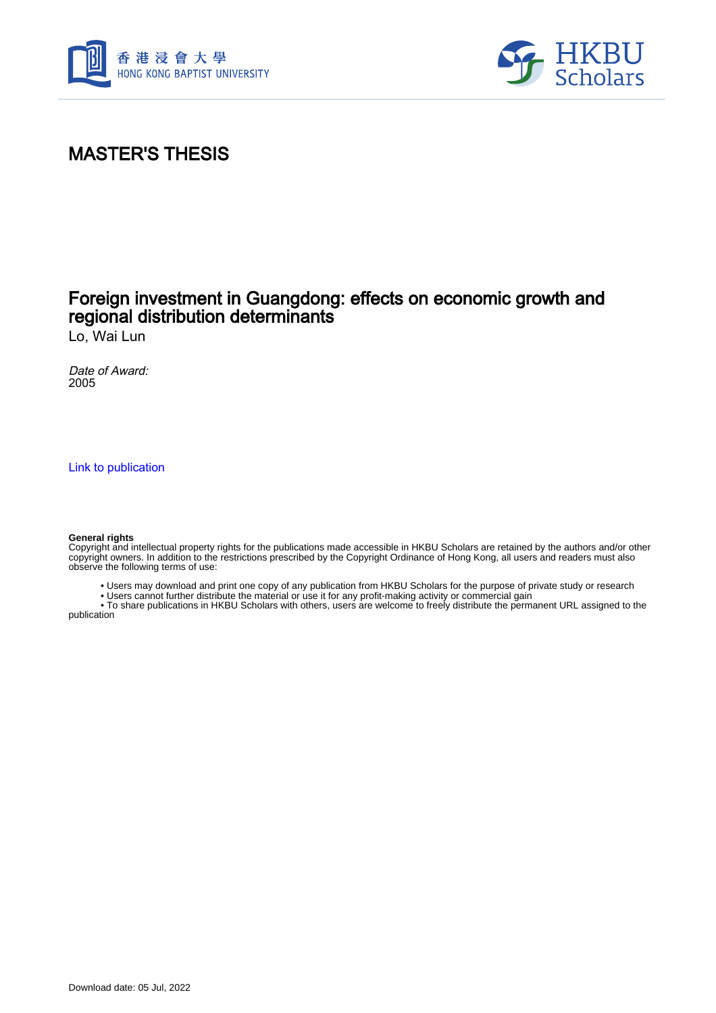



# MASTER'S THESIS

## Foreign investment in Guangdong: effects on economic growth and regional distribution determinants

Lo, Wai Lun

Date of Award: 2005

[Link to publication](https://scholars.hkbu.edu.hk/en/studentTheses/bdb33681-6b7d-4420-bc28-32bb2e3f7c0d)

#### **General rights**

Copyright and intellectual property rights for the publications made accessible in HKBU Scholars are retained by the authors and/or other copyright owners. In addition to the restrictions prescribed by the Copyright Ordinance of Hong Kong, all users and readers must also observe the following terms of use:

- Users may download and print one copy of any publication from HKBU Scholars for the purpose of private study or research
- Users cannot further distribute the material or use it for any profit-making activity or commercial gain

 • To share publications in HKBU Scholars with others, users are welcome to freely distribute the permanent URL assigned to the publication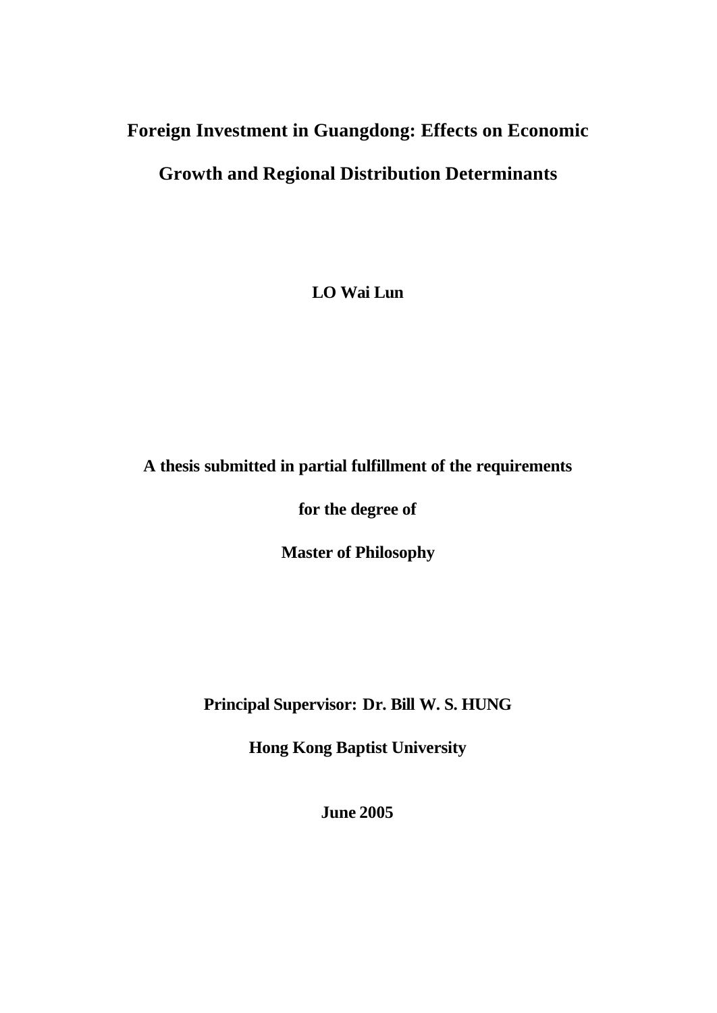# **Foreign Investment in Guangdong: Effects on Economic**

# **Growth and Regional Distribution Determinants**

**LO Wai Lun**

## **A thesis submitted in partial fulfillment of the requirements**

**for the degree of** 

**Master of Philosophy**

**Principal Supervisor: Dr. Bill W. S. HUNG**

**Hong Kong Baptist University**

**June 2005**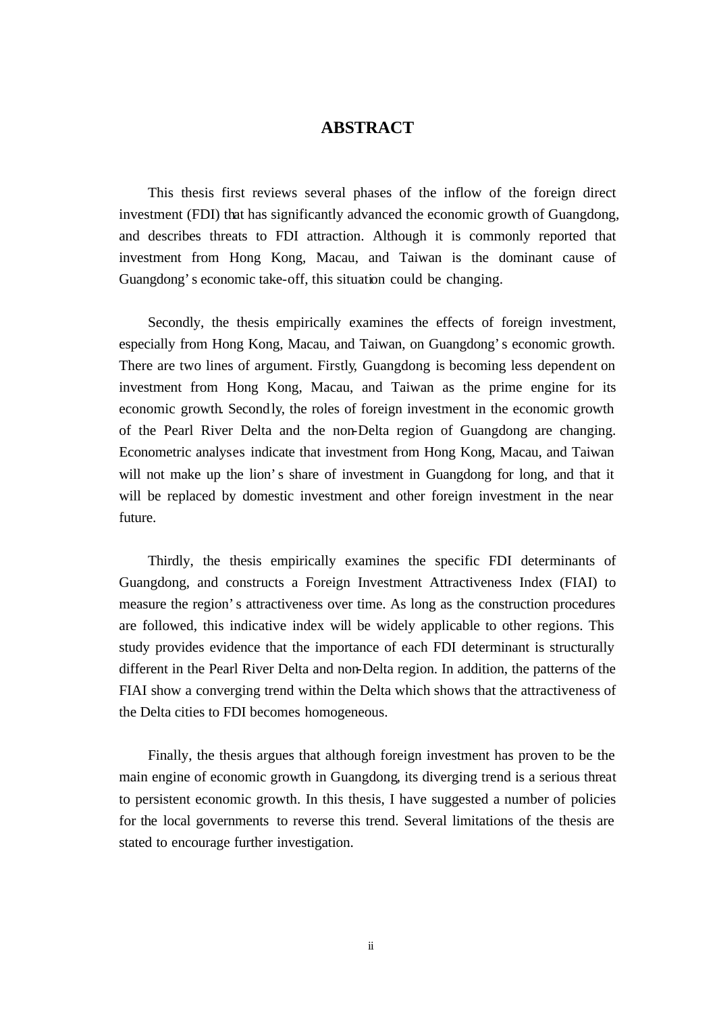#### **ABSTRACT**

This thesis first reviews several phases of the inflow of the foreign direct investment (FDI) that has significantly advanced the economic growth of Guangdong, and describes threats to FDI attraction. Although it is commonly reported that investment from Hong Kong, Macau, and Taiwan is the dominant cause of Guangdong's economic take-off, this situation could be changing.

Secondly, the thesis empirically examines the effects of foreign investment, especially from Hong Kong, Macau, and Taiwan, on Guangdong's economic growth. There are two lines of argument. Firstly, Guangdong is becoming less dependent on investment from Hong Kong, Macau, and Taiwan as the prime engine for its economic growth. Secondly, the roles of foreign investment in the economic growth of the Pearl River Delta and the non-Delta region of Guangdong are changing. Econometric analyses indicate that investment from Hong Kong, Macau, and Taiwan will not make up the lion's share of investment in Guangdong for long, and that it will be replaced by domestic investment and other foreign investment in the near future.

Thirdly, the thesis empirically examines the specific FDI determinants of Guangdong, and constructs a Foreign Investment Attractiveness Index (FIAI) to measure the region's attractiveness over time. As long as the construction procedures are followed, this indicative index will be widely applicable to other regions. This study provides evidence that the importance of each FDI determinant is structurally different in the Pearl River Delta and non-Delta region. In addition, the patterns of the FIAI show a converging trend within the Delta which shows that the attractiveness of the Delta cities to FDI becomes homogeneous.

Finally, the thesis argues that although foreign investment has proven to be the main engine of economic growth in Guangdong, its diverging trend is a serious threat to persistent economic growth. In this thesis, I have suggested a number of policies for the local governments to reverse this trend. Several limitations of the thesis are stated to encourage further investigation.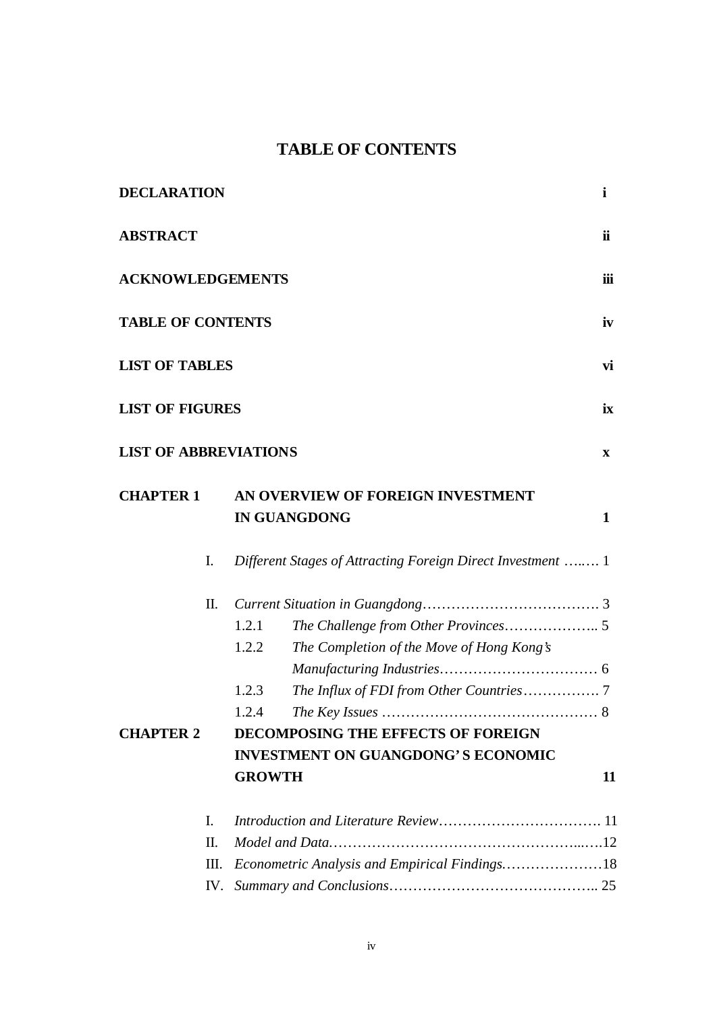## **TABLE OF CONTENTS**

| <b>DECLARATION</b>           |     |                                                          |                                                             | $\mathbf{i}$ |  |  |
|------------------------------|-----|----------------------------------------------------------|-------------------------------------------------------------|--------------|--|--|
| <b>ABSTRACT</b>              |     |                                                          |                                                             | ii           |  |  |
| <b>ACKNOWLEDGEMENTS</b>      |     |                                                          |                                                             |              |  |  |
| <b>TABLE OF CONTENTS</b>     |     |                                                          |                                                             | iv           |  |  |
| <b>LIST OF TABLES</b>        |     |                                                          |                                                             | vi           |  |  |
| <b>LIST OF FIGURES</b>       |     |                                                          |                                                             | ix           |  |  |
| <b>LIST OF ABBREVIATIONS</b> |     |                                                          |                                                             | $\mathbf{X}$ |  |  |
| <b>CHAPTER 1</b>             |     | AN OVERVIEW OF FOREIGN INVESTMENT<br><b>IN GUANGDONG</b> |                                                             | $\mathbf{1}$ |  |  |
|                              | I.  |                                                          | Different Stages of Attracting Foreign Direct Investment  1 |              |  |  |
| П.                           |     |                                                          |                                                             |              |  |  |
|                              |     | 1.2.1                                                    |                                                             |              |  |  |
|                              |     | 1.2.2                                                    | The Completion of the Move of Hong Kong's                   |              |  |  |
|                              |     |                                                          |                                                             |              |  |  |
|                              |     | 1.2.3                                                    |                                                             |              |  |  |
|                              |     | 1.2.4                                                    |                                                             |              |  |  |
| <b>CHAPTER 2</b>             |     | <b>DECOMPOSING THE EFFECTS OF FOREIGN</b>                |                                                             |              |  |  |
|                              |     | <b>INVESTMENT ON GUANGDONG'S ECONOMIC</b>                |                                                             |              |  |  |
|                              |     | <b>GROWTH</b>                                            |                                                             | 11           |  |  |
|                              | Ι.  |                                                          |                                                             |              |  |  |
|                              | Π.  |                                                          |                                                             |              |  |  |
|                              | Ш.  |                                                          | Econometric Analysis and Empirical Findings18               |              |  |  |
|                              | IV. |                                                          |                                                             |              |  |  |